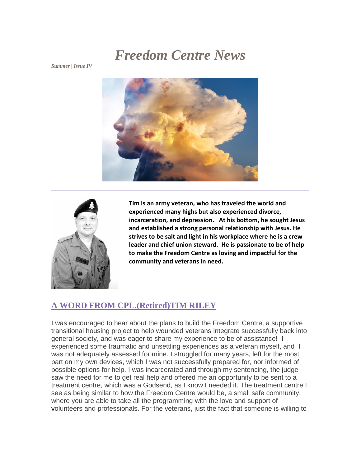# *Freedom Centre News*

*Summer | Issue IV*





**Tim is an army veteran, who has traveled the world and experienced many highs but also experienced divorce, incarceration, and depression. At his bottom, he sought Jesus and established a strong personal relationship with Jesus. He strives to be salt and light in his workplace where he is a crew leader and chief union steward. He is passionate to be of help to make the Freedom Centre as loving and impactful for the community and veterans in need.** 

#### **A WORD FROM CPL.(Retired)TIM RILEY**

I was encouraged to hear about the plans to build the Freedom Centre, a supportive transitional housing project to help wounded veterans integrate successfully back into general society, and was eager to share my experience to be of assistance! I experienced some traumatic and unsettling experiences as a veteran myself, and I was not adequately assessed for mine. I struggled for many years, left for the most part on my own devices, which I was not successfully prepared for, nor informed of possible options for help. I was incarcerated and through my sentencing, the judge saw the need for me to get real help and offered me an opportunity to be sent to a treatment centre, which was a Godsend, as I know I needed it. The treatment centre I see as being similar to how the Freedom Centre would be, a small safe community, where you are able to take all the programming with the love and support of volunteers and professionals. For the veterans, just the fact that someone is willing to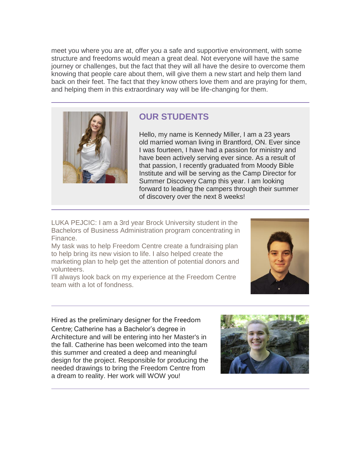meet you where you are at, offer you a safe and supportive environment, with some structure and freedoms would mean a great deal. Not everyone will have the same journey or challenges, but the fact that they will all have the desire to overcome them knowing that people care about them, will give them a new start and help them land back on their feet. The fact that they know others love them and are praying for them, and helping them in this extraordinary way will be life-changing for them.



### **OUR STUDENTS**

Hello, my name is Kennedy Miller, I am a 23 years old married woman living in Brantford, ON. Ever since I was fourteen, I have had a passion for ministry and have been actively serving ever since. As a result of that passion, I recently graduated from Moody Bible Institute and will be serving as the Camp Director for Summer Discovery Camp this year. I am looking forward to leading the campers through their summer of discovery over the next 8 weeks!

LUKA PEJCIC: I am a 3rd year Brock University student in the Bachelors of Business Administration program concentrating in Finance.

My task was to help Freedom Centre create a fundraising plan to help bring its new vision to life. I also helped create the marketing plan to help get the attention of potential donors and volunteers.



I'll always look back on my experience at the Freedom Centre team with a lot of fondness.

Hired as the preliminary designer for the Freedom Centre; Catherine has a Bachelor's degree in Architecture and will be entering into her Master's in the fall. Catherine has been welcomed into the team this summer and created a deep and meaningful design for the project. Responsible for producing the needed drawings to bring the Freedom Centre from a dream to reality. Her work will WOW you!

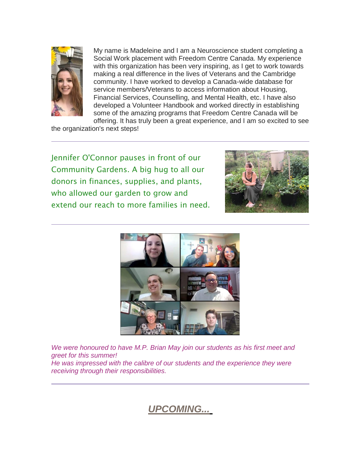

My name is Madeleine and I am a Neuroscience student completing a Social Work placement with Freedom Centre Canada. My experience with this organization has been very inspiring, as I get to work towards making a real difference in the lives of Veterans and the Cambridge community. I have worked to develop a Canada-wide database for service members/Veterans to access information about Housing, Financial Services, Counselling, and Mental Health, etc. I have also developed a Volunteer Handbook and worked directly in establishing some of the amazing programs that Freedom Centre Canada will be offering. It has truly been a great experience, and I am so excited to see

the organization's next steps!

Jennifer O'Connor pauses in front of our Community Gardens. A big hug to all our donors in finances, supplies, and plants, who allowed our garden to grow and extend our reach to more families in need.





*We were honoured to have M.P. Brian May join our students as his first meet and greet for this summer!*

*He was impressed with the calibre of our students and the experience they were receiving through their responsibilities.* 

*UPCOMING...*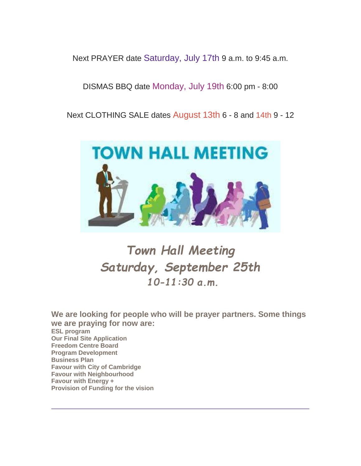Next PRAYER date Saturday, July 17th 9 a.m. to 9:45 a.m.

#### DISMAS BBQ date Monday, July 19th 6:00 pm - 8:00

Next CLOTHING SALE dates August 13th 6 - 8 and 14th 9 - 12



# *Town Hall Meeting Saturday, September 25th 10-11:30 a.m.*

**We are looking for people who will be prayer partners. Some things we are praying for now are: ESL program Our Final Site Application Freedom Centre Board Program Development Business Plan Favour with City of Cambridge Favour with Neighbourhood Favour with Energy + Provision of Funding for the vision**